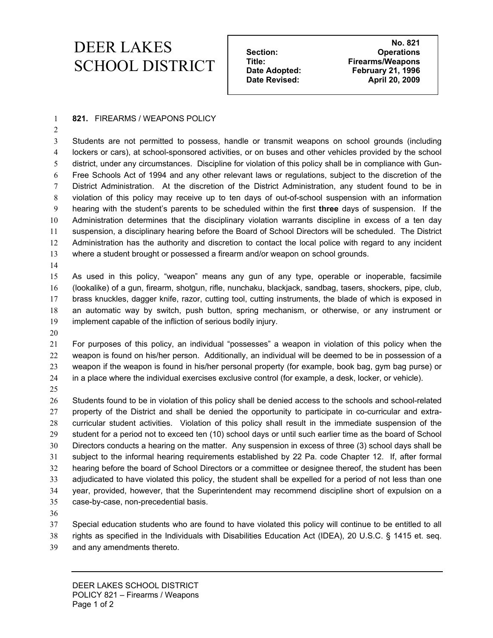## **NO.821 NO.821 DEER LAKES** Section: No. 821 Section: No. 821 **SCHOOL DISTRICT** Title: Firearms/Weapons<br> **Example 21, 1996**<br> **Example 21, 1996**

 **Date Adopted: February 21, 1996**  Date Revised: April 20, 2009

## **821.** FIREARMS / WEAPONS POLICY

Students are not permitted to possess, handle or transmit weapons on school grounds (including lockers or cars), at school-sponsored activities, or on buses and other vehicles provided by the school district, under any circumstances. Discipline for violation of this policy shall be in compliance with Gun-Free Schools Act of 1994 and any other relevant laws or regulations, subject to the discretion of the District Administration. At the discretion of the District Administration, any student found to be in violation of this policy may receive up to ten days of out-of-school suspension with an information hearing with the student's parents to be scheduled within the first **three** days of suspension. If the Administration determines that the disciplinary violation warrants discipline in excess of a ten day suspension, a disciplinary hearing before the Board of School Directors will be scheduled. The District Administration has the authority and discretion to contact the local police with regard to any incident where a student brought or possessed a firearm and/or weapon on school grounds.

As used in this policy, "weapon" means any gun of any type, operable or inoperable, facsimile (lookalike) of a gun, firearm, shotgun, rifle, nunchaku, blackjack, sandbag, tasers, shockers, pipe, club, brass knuckles, dagger knife, razor, cutting tool, cutting instruments, the blade of which is exposed in an automatic way by switch, push button, spring mechanism, or otherwise, or any instrument or implement capable of the infliction of serious bodily injury.

For purposes of this policy, an individual "possesses" a weapon in violation of this policy when the weapon is found on his/her person. Additionally, an individual will be deemed to be in possession of a weapon if the weapon is found in his/her personal property (for example, book bag, gym bag purse) or in a place where the individual exercises exclusive control (for example, a desk, locker, or vehicle).

Students found to be in violation of this policy shall be denied access to the schools and school-related property of the District and shall be denied the opportunity to participate in co-curricular and extra-curricular student activities. Violation of this policy shall result in the immediate suspension of the student for a period not to exceed ten (10) school days or until such earlier time as the board of School Directors conducts a hearing on the matter. Any suspension in excess of three (3) school days shall be subject to the informal hearing requirements established by 22 Pa. code Chapter 12. If, after formal hearing before the board of School Directors or a committee or designee thereof, the student has been adjudicated to have violated this policy, the student shall be expelled for a period of not less than one year, provided, however, that the Superintendent may recommend discipline short of expulsion on a case-by-case, non-precedential basis.

Special education students who are found to have violated this policy will continue to be entitled to all rights as specified in the Individuals with Disabilities Education Act (IDEA), 20 U.S.C. § 1415 et. seq.

and any amendments thereto.